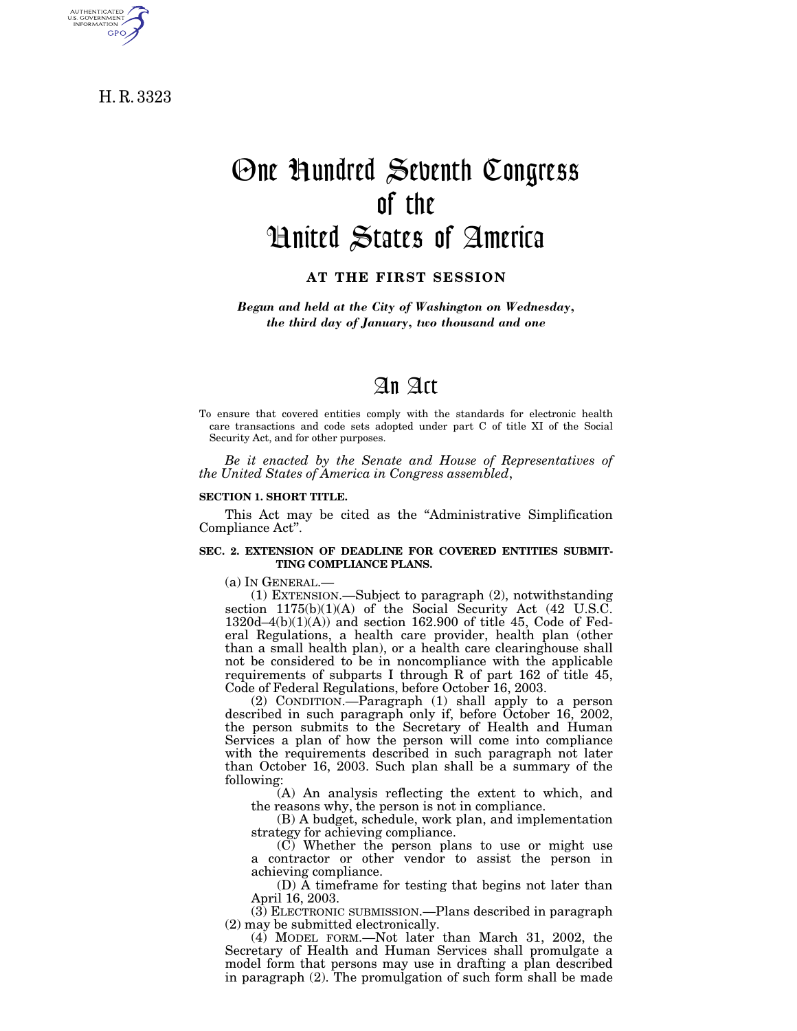H. R. 3323

AUTHENTICATED<br>U.S. GOVERNMENT<br>INFORMATION **GPO** 

# One Hundred Seventh Congress of the United States of America

**AT THE FIRST SESSION**

*Begun and held at the City of Washington on Wednesday, the third day of January, two thousand and one*

## An Act

To ensure that covered entities comply with the standards for electronic health care transactions and code sets adopted under part C of title XI of the Social Security Act, and for other purposes.

*Be it enacted by the Senate and House of Representatives of the United States of America in Congress assembled*,

#### **SECTION 1. SHORT TITLE.**

This Act may be cited as the ''Administrative Simplification Compliance Act''.

#### **SEC. 2. EXTENSION OF DEADLINE FOR COVERED ENTITIES SUBMIT-TING COMPLIANCE PLANS.**

(a) IN GENERAL.—

(1) EXTENSION.—Subject to paragraph (2), notwithstanding section  $1175(b)(1)(A)$  of the Social Security Act (42 U.S.C. 1320d–4(b)(1)(A)) and section 162.900 of title 45, Code of Federal Regulations, a health care provider, health plan (other than a small health plan), or a health care clearinghouse shall not be considered to be in noncompliance with the applicable requirements of subparts I through R of part 162 of title 45, Code of Federal Regulations, before October 16, 2003.

(2) CONDITION.—Paragraph (1) shall apply to a person described in such paragraph only if, before October 16, 2002, the person submits to the Secretary of Health and Human Services a plan of how the person will come into compliance with the requirements described in such paragraph not later than October 16, 2003. Such plan shall be a summary of the following:

(A) An analysis reflecting the extent to which, and the reasons why, the person is not in compliance.

(B) A budget, schedule, work plan, and implementation strategy for achieving compliance.

(C) Whether the person plans to use or might use a contractor or other vendor to assist the person in achieving compliance.

(D) A timeframe for testing that begins not later than April 16, 2003.

(3) ELECTRONIC SUBMISSION.—Plans described in paragraph (2) may be submitted electronically.

(4) MODEL FORM.—Not later than March 31, 2002, the Secretary of Health and Human Services shall promulgate a model form that persons may use in drafting a plan described in paragraph (2). The promulgation of such form shall be made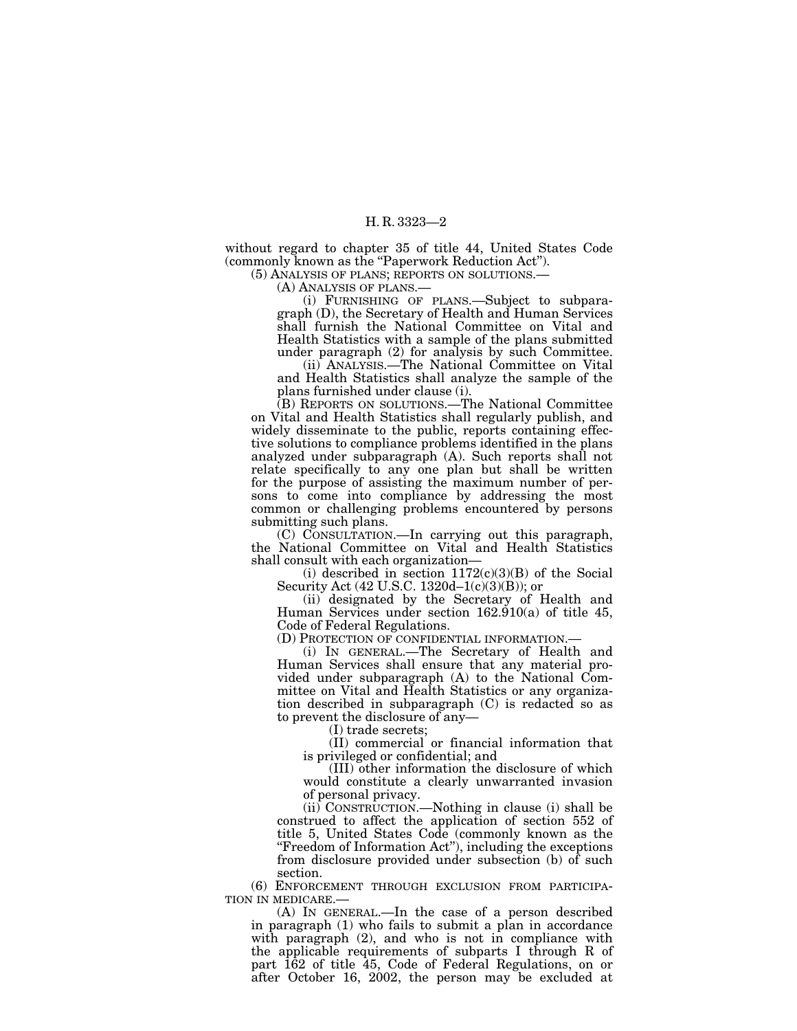without regard to chapter 35 of title 44, United States Code (commonly known as the "Paperwork Reduction Act").

(5) ANALYSIS OF PLANS; REPORTS ON SOLUTIONS.—

(A) ANALYSIS OF PLANS.—

(i) FURNISHING OF PLANS.—Subject to subparagraph (D), the Secretary of Health and Human Services shall furnish the National Committee on Vital and Health Statistics with a sample of the plans submitted under paragraph (2) for analysis by such Committee.

(ii) ANALYSIS.—The National Committee on Vital and Health Statistics shall analyze the sample of the plans furnished under clause (i).

(B) REPORTS ON SOLUTIONS.—The National Committee on Vital and Health Statistics shall regularly publish, and widely disseminate to the public, reports containing effective solutions to compliance problems identified in the plans analyzed under subparagraph (A). Such reports shall not relate specifically to any one plan but shall be written for the purpose of assisting the maximum number of persons to come into compliance by addressing the most common or challenging problems encountered by persons submitting such plans.

(C) CONSULTATION.—In carrying out this paragraph, the National Committee on Vital and Health Statistics shall consult with each organization—

(i) described in section  $1172(c)(3)(B)$  of the Social Security Act (42 U.S.C. 1320d–1(c)(3)(B)); or

(ii) designated by the Secretary of Health and Human Services under section 162.910(a) of title 45, Code of Federal Regulations.

(D) PROTECTION OF CONFIDENTIAL INFORMATION.—

(i) IN GENERAL.—The Secretary of Health and Human Services shall ensure that any material provided under subparagraph (A) to the National Committee on Vital and Health Statistics or any organization described in subparagraph (C) is redacted so as to prevent the disclosure of any—

(I) trade secrets;

(II) commercial or financial information that is privileged or confidential; and

(III) other information the disclosure of which would constitute a clearly unwarranted invasion of personal privacy.

(ii) CONSTRUCTION.—Nothing in clause (i) shall be construed to affect the application of section 552 of title 5, United States Code (commonly known as the "Freedom of Information Act"), including the exceptions from disclosure provided under subsection (b) of such section.

(6) ENFORCEMENT THROUGH EXCLUSION FROM PARTICIPA- TION IN MEDICARE.— (A) IN GENERAL.—In the case of a person described

in paragraph (1) who fails to submit a plan in accordance with paragraph (2), and who is not in compliance with the applicable requirements of subparts I through R of part 162 of title 45, Code of Federal Regulations, on or after October 16, 2002, the person may be excluded at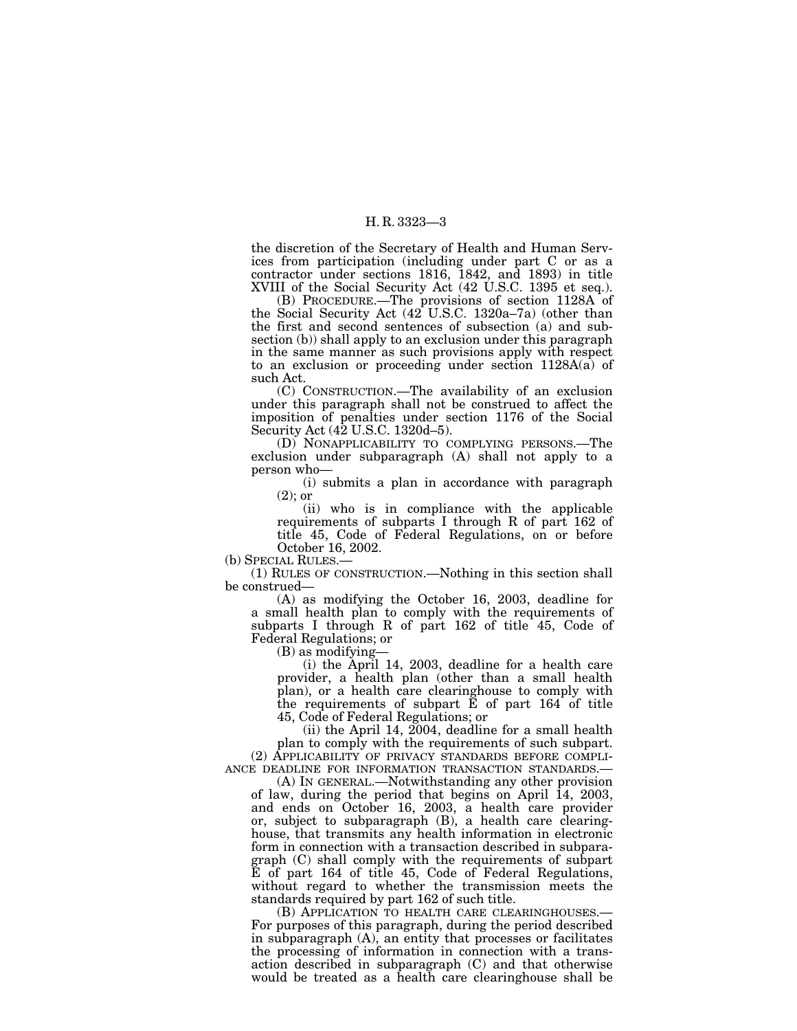the discretion of the Secretary of Health and Human Services from participation (including under part C or as a contractor under sections 1816, 1842, and 1893) in title XVIII of the Social Security Act (42 U.S.C. 1395 et seq.).

(B) PROCEDURE.—The provisions of section 1128A of the Social Security Act (42 U.S.C. 1320a–7a) (other than the first and second sentences of subsection (a) and subsection (b)) shall apply to an exclusion under this paragraph in the same manner as such provisions apply with respect to an exclusion or proceeding under section 1128A(a) of such Act.

(C) CONSTRUCTION.—The availability of an exclusion under this paragraph shall not be construed to affect the imposition of penalties under section 1176 of the Social Security Act (42 U.S.C. 1320d–5).

(D) NONAPPLICABILITY TO COMPLYING PERSONS.—The exclusion under subparagraph (A) shall not apply to a person who—

(i) submits a plan in accordance with paragraph (2); or

(ii) who is in compliance with the applicable requirements of subparts I through R of part 162 of title 45, Code of Federal Regulations, on or before October 16, 2002.

(b) SPECIAL RULES.—

(1) RULES OF CONSTRUCTION.—Nothing in this section shall be construed—

(A) as modifying the October 16, 2003, deadline for a small health plan to comply with the requirements of subparts I through R of part 162 of title 45, Code of Federal Regulations; or

 $(B)$  as modifying-

(i) the April 14, 2003, deadline for a health care provider, a health plan (other than a small health plan), or a health care clearinghouse to comply with the requirements of subpart E of part 164 of title 45, Code of Federal Regulations; or

(ii) the April 14, 2004, deadline for a small health plan to comply with the requirements of such subpart. (2) APPLICABILITY OF PRIVACY STANDARDS BEFORE COMPLI-ANCE DEADLINE FOR INFORMATION TRANSACTION STANDARDS.—

(A) IN GENERAL.—Notwithstanding any other provision of law, during the period that begins on April 14, 2003, and ends on October 16, 2003, a health care provider or, subject to subparagraph (B), a health care clearinghouse, that transmits any health information in electronic form in connection with a transaction described in subparagraph (C) shall comply with the requirements of subpart E of part 164 of title 45, Code of Federal Regulations, without regard to whether the transmission meets the standards required by part 162 of such title.

(B) APPLICATION TO HEALTH CARE CLEARINGHOUSES.— For purposes of this paragraph, during the period described in subparagraph (A), an entity that processes or facilitates the processing of information in connection with a transaction described in subparagraph (C) and that otherwise would be treated as a health care clearinghouse shall be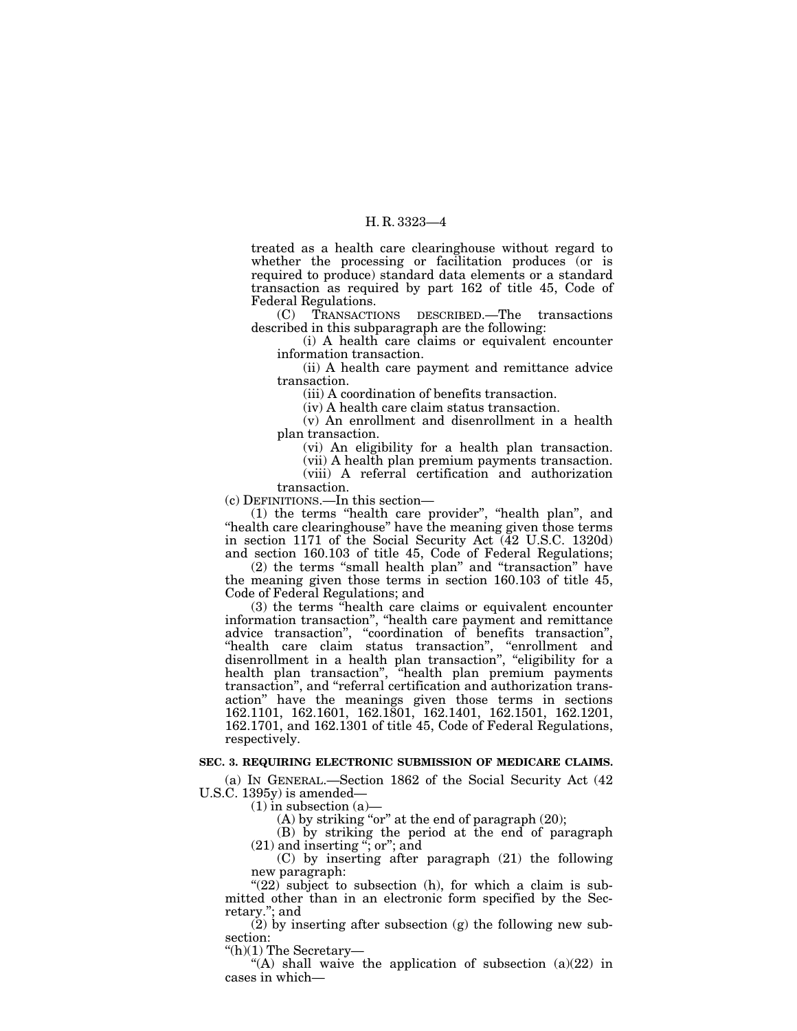treated as a health care clearinghouse without regard to whether the processing or facilitation produces (or is required to produce) standard data elements or a standard transaction as required by part 162 of title 45, Code of Federal Regulations.

(C) TRANSACTIONS DESCRIBED.—The transactions described in this subparagraph are the following:

(i) A health care claims or equivalent encounter information transaction.

(ii) A health care payment and remittance advice transaction.

(iii) A coordination of benefits transaction.

(iv) A health care claim status transaction.

(v) An enrollment and disenrollment in a health plan transaction.

(vi) An eligibility for a health plan transaction.

(vii) A health plan premium payments transaction.

(viii) A referral certification and authorization transaction.

(c) DEFINITIONS.—In this section—

(1) the terms ''health care provider'', ''health plan'', and ''health care clearinghouse'' have the meaning given those terms in section 1171 of the Social Security Act (42 U.S.C. 1320d) and section 160.103 of title 45, Code of Federal Regulations;

(2) the terms ''small health plan'' and ''transaction'' have the meaning given those terms in section 160.103 of title 45, Code of Federal Regulations; and

(3) the terms ''health care claims or equivalent encounter information transaction'', ''health care payment and remittance advice transaction'', ''coordination of benefits transaction'', ''health care claim status transaction'', ''enrollment and disenrollment in a health plan transaction'', ''eligibility for a health plan transaction'', ''health plan premium payments transaction'', and ''referral certification and authorization transaction'' have the meanings given those terms in sections 162.1101, 162.1601, 162.1801, 162.1401, 162.1501, 162.1201, 162.1701, and 162.1301 of title 45, Code of Federal Regulations, respectively.

#### **SEC. 3. REQUIRING ELECTRONIC SUBMISSION OF MEDICARE CLAIMS.**

(a) IN GENERAL.—Section 1862 of the Social Security Act (42 U.S.C. 1395y) is amended—

 $(1)$  in subsection  $(a)$ 

(A) by striking "or" at the end of paragraph  $(20)$ ;

(B) by striking the period at the end of paragraph  $(21)$  and inserting "; or"; and

(C) by inserting after paragraph (21) the following new paragraph:

" $(22)$  subject to subsection (h), for which a claim is submitted other than in an electronic form specified by the Secretary.''; and

 $(2)$  by inserting after subsection  $(g)$  the following new subsection:

''(h)(1) The Secretary—

"(A) shall waive the application of subsection  $(a)(22)$  in cases in which—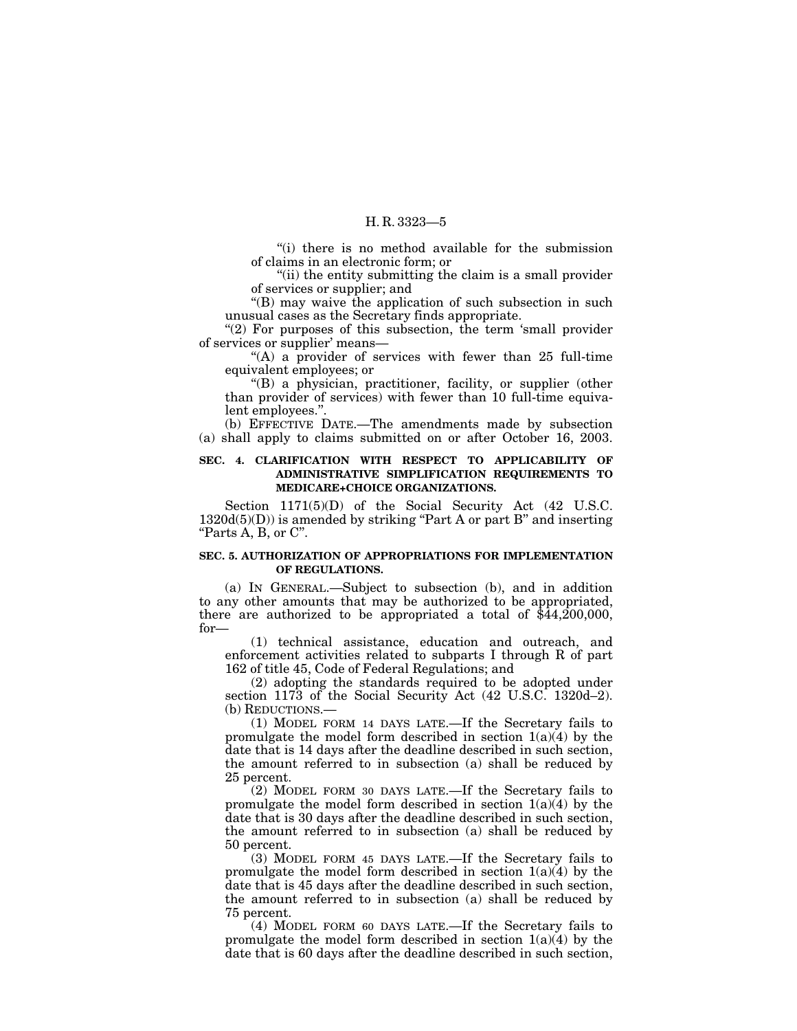''(i) there is no method available for the submission of claims in an electronic form; or

''(ii) the entity submitting the claim is a small provider of services or supplier; and

''(B) may waive the application of such subsection in such unusual cases as the Secretary finds appropriate.

" $(2)$  For purposes of this subsection, the term 'small provider of services or supplier' means—

"(A) a provider of services with fewer than 25 full-time equivalent employees; or

''(B) a physician, practitioner, facility, or supplier (other than provider of services) with fewer than 10 full-time equivalent employees.''.

(b) EFFECTIVE DATE.—The amendments made by subsection (a) shall apply to claims submitted on or after October 16, 2003.

#### **SEC. 4. CLARIFICATION WITH RESPECT TO APPLICABILITY OF ADMINISTRATIVE SIMPLIFICATION REQUIREMENTS TO MEDICARE+CHOICE ORGANIZATIONS.**

Section 1171(5)(D) of the Social Security Act (42 U.S.C.  $1320d(5)(D)$ ) is amended by striking "Part A or part B" and inserting ''Parts A, B, or C''.

#### **SEC. 5. AUTHORIZATION OF APPROPRIATIONS FOR IMPLEMENTATION OF REGULATIONS.**

(a) IN GENERAL.—Subject to subsection (b), and in addition to any other amounts that may be authorized to be appropriated, there are authorized to be appropriated a total of  $$44,200,000$ , for—

(1) technical assistance, education and outreach, and enforcement activities related to subparts I through R of part 162 of title 45, Code of Federal Regulations; and

(2) adopting the standards required to be adopted under section 1173 of the Social Security Act (42 U.S.C. 1320d–2). (b) REDUCTIONS.—

(1) MODEL FORM 14 DAYS LATE.—If the Secretary fails to promulgate the model form described in section  $1(a)(4)$  by the date that is 14 days after the deadline described in such section, the amount referred to in subsection (a) shall be reduced by 25 percent.

(2) MODEL FORM 30 DAYS LATE.—If the Secretary fails to promulgate the model form described in section  $1(a)(4)$  by the date that is 30 days after the deadline described in such section, the amount referred to in subsection (a) shall be reduced by 50 percent.

(3) MODEL FORM 45 DAYS LATE.—If the Secretary fails to promulgate the model form described in section  $1(a)(4)$  by the date that is 45 days after the deadline described in such section, the amount referred to in subsection (a) shall be reduced by 75 percent.

(4) MODEL FORM 60 DAYS LATE.—If the Secretary fails to promulgate the model form described in section  $1(a)(4)$  by the date that is 60 days after the deadline described in such section,